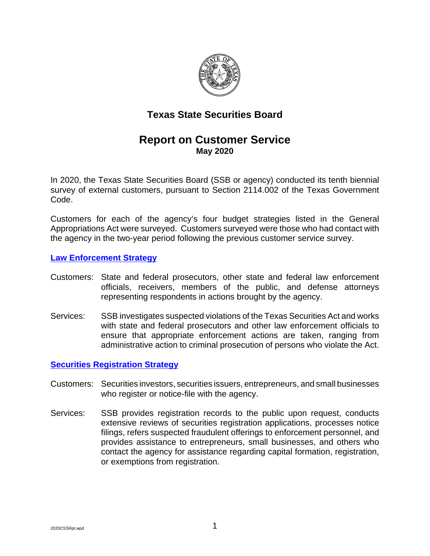

# **Texas State Securities Board**

# **Report on Customer Service May 2020**

In 2020, the Texas State Securities Board (SSB or agency) conducted its tenth biennial survey of external customers, pursuant to Section 2114.002 of the Texas Government Code.

Customers for each of the agency's four budget strategies listed in the General Appropriations Act were surveyed. Customers surveyed were those who had contact with the agency in the two-year period following the previous customer service survey.

#### **[Law Enforcement Strategy](https://www.ssb.texas.gov/securities-professionals/enforcement)**

- Customers: State and federal prosecutors, other state and federal law enforcement officials, receivers, members of the public, and defense attorneys representing respondents in actions brought by the agency.
- Services: SSB investigates suspected violations of the Texas Securities Act and works with state and federal prosecutors and other law enforcement officials to ensure that appropriate enforcement actions are taken, ranging from administrative action to criminal prosecution of persons who violate the Act.

## **[Securities Registration Strategy](https://www.ssb.texas.gov/securities-professionals/regulation-securities)**

- Customers: Securities investors, securities issuers, entrepreneurs, and small businesses who register or notice-file with the agency.
- Services: SSB provides registration records to the public upon request, conducts extensive reviews of securities registration applications, processes notice filings, refers suspected fraudulent offerings to enforcement personnel, and provides assistance to entrepreneurs, small businesses, and others who contact the agency for assistance regarding capital formation, registration, or exemptions from registration.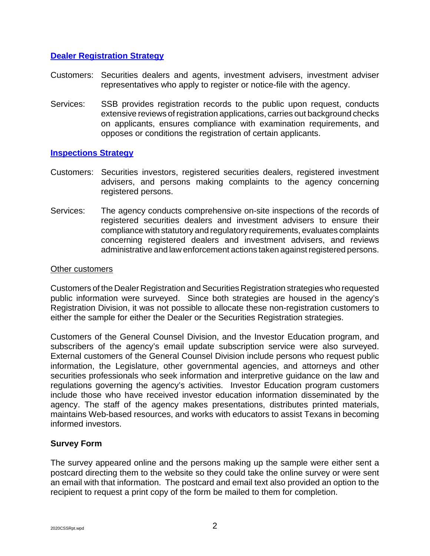## **[Dealer Registration Strategy](https://www.ssb.texas.gov/securities-professionals/dealer-adviser-registration)**

- Customers: Securities dealers and agents, investment advisers, investment adviser representatives who apply to register or notice-file with the agency.
- Services: SSB provides registration records to the public upon request, conducts extensive reviews of registration applications, carries out background checks on applicants, ensures compliance with examination requirements, and opposes or conditions the registration of certain applicants.

## **[Inspections Strategy](https://www.ssb.texas.gov/securities-professionals/inspections-compliance)**

- Customers: Securities investors, registered securities dealers, registered investment advisers, and persons making complaints to the agency concerning registered persons.
- Services: The agency conducts comprehensive on-site inspections of the records of registered securities dealers and investment advisers to ensure their compliance with statutory and regulatory requirements, evaluates complaints concerning registered dealers and investment advisers, and reviews administrative and law enforcement actions taken against registered persons.

#### Other customers

Customers of the Dealer Registration and Securities Registration strategies who requested public information were surveyed. Since both strategies are housed in the agency's Registration Division, it was not possible to allocate these non-registration customers to either the sample for either the Dealer or the Securities Registration strategies.

Customers of the General Counsel Division, and the Investor Education program, and subscribers of the agency's email update subscription service were also surveyed. External customers of the General Counsel Division include persons who request public information, the Legislature, other governmental agencies, and attorneys and other securities professionals who seek information and interpretive guidance on the law and regulations governing the agency's activities. Investor Education program customers include those who have received investor education information disseminated by the agency. The staff of the agency makes presentations, distributes printed materials, maintains Web-based resources, and works with educators to assist Texans in becoming informed investors.

#### **Survey Form**

The survey appeared online and the persons making up the sample were either sent a postcard directing them to the website so they could take the online survey or were sent an email with that information. The postcard and email text also provided an option to the recipient to request a print copy of the form be mailed to them for completion.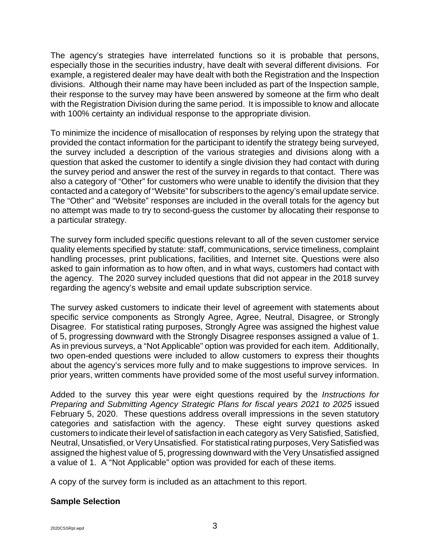The agency's strategies have interrelated functions so it is probable that persons, especially those in the securities industry, have dealt with several different divisions. For example, a registered dealer may have dealt with both the Registration and the Inspection divisions. Although their name may have been included as part of the Inspection sample, their response to the survey may have been answered by someone at the firm who dealt with the Registration Division during the same period. It is impossible to know and allocate with 100% certainty an individual response to the appropriate division.

To minimize the incidence of misallocation of responses by relying upon the strategy that provided the contact information for the participant to identify the strategy being surveyed, the survey included a description of the various strategies and divisions along with a question that asked the customer to identify a single division they had contact with during the survey period and answer the rest of the survey in regards to that contact. There was also a category of "Other" for customers who were unable to identify the division that they contacted and a category of "Website" for subscribers to the agency's email update service. The "Other" and "Website" responses are included in the overall totals for the agency but no attempt was made to try to second-guess the customer by allocating their response to a particular strategy.

The survey form included specific questions relevant to all of the seven customer service quality elements specified by statute: staff, communications, service timeliness, complaint handling processes, print publications, facilities, and Internet site. Questions were also asked to gain information as to how often, and in what ways, customers had contact with the agency. The 2020 survey included questions that did not appear in the 2018 survey regarding the agency's website and email update subscription service.

The survey asked customers to indicate their level of agreement with statements about specific service components as Strongly Agree, Agree, Neutral, Disagree, or Strongly Disagree. For statistical rating purposes, Strongly Agree was assigned the highest value of 5, progressing downward with the Strongly Disagree responses assigned a value of 1. As in previous surveys, a "Not Applicable" option was provided for each item. Additionally, two open-ended questions were included to allow customers to express their thoughts about the agency's services more fully and to make suggestions to improve services. In prior years, written comments have provided some of the most useful survey information.

Added to the survey this year were eight questions required by the *Instructions for Preparing and Submitting Agency Strategic Plans for fiscal years 2021 to 2025* issued February 5, 2020. These questions address overall impressions in the seven statutory categories and satisfaction with the agency. These eight survey questions asked customers to indicate their level of satisfaction in each category as Very Satisfied, Satisfied, Neutral, Unsatisfied, or Very Unsatisfied. For statistical rating purposes, Very Satisfied was assigned the highest value of 5, progressing downward with the Very Unsatisfied assigned a value of 1. A "Not Applicable" option was provided for each of these items.

A copy of the survey form is included as an attachment to this report.

## **Sample Selection**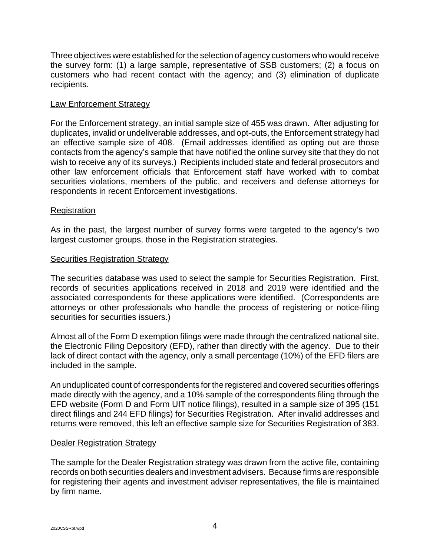Three objectives were established for the selection of agency customers who would receive the survey form: (1) a large sample, representative of SSB customers; (2) a focus on customers who had recent contact with the agency; and (3) elimination of duplicate recipients.

## Law Enforcement Strategy

For the Enforcement strategy, an initial sample size of 455 was drawn. After adjusting for duplicates, invalid or undeliverable addresses, and opt-outs, the Enforcement strategy had an effective sample size of 408. (Email addresses identified as opting out are those contacts from the agency's sample that have notified the online survey site that they do not wish to receive any of its surveys.) Recipients included state and federal prosecutors and other law enforcement officials that Enforcement staff have worked with to combat securities violations, members of the public, and receivers and defense attorneys for respondents in recent Enforcement investigations.

## **Registration**

As in the past, the largest number of survey forms were targeted to the agency's two largest customer groups, those in the Registration strategies.

#### Securities Registration Strategy

The securities database was used to select the sample for Securities Registration. First, records of securities applications received in 2018 and 2019 were identified and the associated correspondents for these applications were identified. (Correspondents are attorneys or other professionals who handle the process of registering or notice-filing securities for securities issuers.)

Almost all of the Form D exemption filings were made through the centralized national site, the Electronic Filing Depository (EFD), rather than directly with the agency. Due to their lack of direct contact with the agency, only a small percentage (10%) of the EFD filers are included in the sample.

An unduplicated count of correspondents for the registered and covered securities offerings made directly with the agency, and a 10% sample of the correspondents filing through the EFD website (Form D and Form UIT notice filings), resulted in a sample size of 395 (151 direct filings and 244 EFD filings) for Securities Registration. After invalid addresses and returns were removed, this left an effective sample size for Securities Registration of 383.

#### Dealer Registration Strategy

The sample for the Dealer Registration strategy was drawn from the active file, containing records on both securities dealers and investment advisers. Because firms are responsible for registering their agents and investment adviser representatives, the file is maintained by firm name.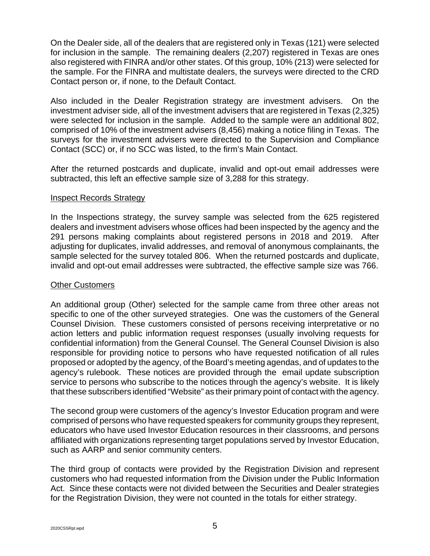On the Dealer side, all of the dealers that are registered only in Texas (121) were selected for inclusion in the sample. The remaining dealers (2,207) registered in Texas are ones also registered with FINRA and/or other states. Of this group, 10% (213) were selected for the sample. For the FINRA and multistate dealers, the surveys were directed to the CRD Contact person or, if none, to the Default Contact.

Also included in the Dealer Registration strategy are investment advisers. On the investment adviser side, all of the investment advisers that are registered in Texas (2,325) were selected for inclusion in the sample. Added to the sample were an additional 802, comprised of 10% of the investment advisers (8,456) making a notice filing in Texas. The surveys for the investment advisers were directed to the Supervision and Compliance Contact (SCC) or, if no SCC was listed, to the firm's Main Contact.

After the returned postcards and duplicate, invalid and opt-out email addresses were subtracted, this left an effective sample size of 3,288 for this strategy.

#### Inspect Records Strategy

In the Inspections strategy, the survey sample was selected from the 625 registered dealers and investment advisers whose offices had been inspected by the agency and the 291 persons making complaints about registered persons in 2018 and 2019. After adjusting for duplicates, invalid addresses, and removal of anonymous complainants, the sample selected for the survey totaled 806. When the returned postcards and duplicate, invalid and opt-out email addresses were subtracted, the effective sample size was 766.

#### Other Customers

An additional group (Other) selected for the sample came from three other areas not specific to one of the other surveyed strategies. One was the customers of the General Counsel Division. These customers consisted of persons receiving interpretative or no action letters and public information request responses (usually involving requests for confidential information) from the General Counsel. The General Counsel Division is also responsible for providing notice to persons who have requested notification of all rules proposed or adopted by the agency, of the Board's meeting agendas, and of updates to the agency's rulebook. These notices are provided through the email update subscription service to persons who subscribe to the notices through the agency's website. It is likely that these subscribers identified "Website" as their primary point of contact with the agency.

The second group were customers of the agency's Investor Education program and were comprised of persons who have requested speakers for community groups they represent, educators who have used Investor Education resources in their classrooms, and persons affiliated with organizations representing target populations served by Investor Education, such as AARP and senior community centers.

The third group of contacts were provided by the Registration Division and represent customers who had requested information from the Division under the Public Information Act. Since these contacts were not divided between the Securities and Dealer strategies for the Registration Division, they were not counted in the totals for either strategy.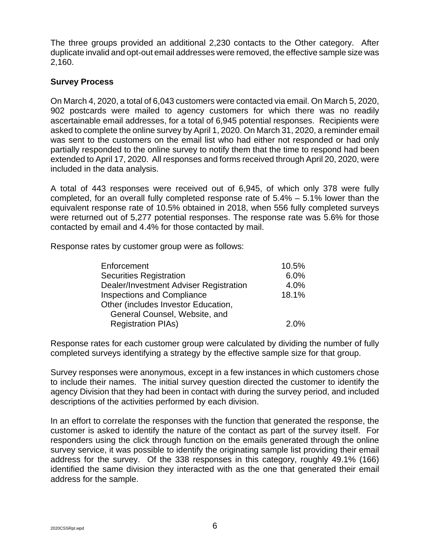The three groups provided an additional 2,230 contacts to the Other category. After duplicate invalid and opt-out email addresses were removed, the effective sample size was 2,160.

## **Survey Process**

On March 4, 2020, a total of 6,043 customers were contacted via email. On March 5, 2020, 902 postcards were mailed to agency customers for which there was no readily ascertainable email addresses, for a total of 6,945 potential responses. Recipients were asked to complete the online survey by April 1, 2020. On March 31, 2020, a reminder email was sent to the customers on the email list who had either not responded or had only partially responded to the online survey to notify them that the time to respond had been extended to April 17, 2020. All responses and forms received through April 20, 2020, were included in the data analysis.

A total of 443 responses were received out of 6,945, of which only 378 were fully completed, for an overall fully completed response rate of 5.4% – 5.1% lower than the equivalent response rate of 10.5% obtained in 2018, when 556 fully completed surveys were returned out of 5,277 potential responses. The response rate was 5.6% for those contacted by email and 4.4% for those contacted by mail.

Response rates by customer group were as follows:

| Enforcement                            | 10.5% |
|----------------------------------------|-------|
| <b>Securities Registration</b>         | 6.0%  |
| Dealer/Investment Adviser Registration | 4.0%  |
| <b>Inspections and Compliance</b>      | 18.1% |
| Other (includes Investor Education,    |       |
| General Counsel, Website, and          |       |
| <b>Registration PIAs)</b>              | 2.0%  |

Response rates for each customer group were calculated by dividing the number of fully completed surveys identifying a strategy by the effective sample size for that group.

Survey responses were anonymous, except in a few instances in which customers chose to include their names. The initial survey question directed the customer to identify the agency Division that they had been in contact with during the survey period, and included descriptions of the activities performed by each division.

In an effort to correlate the responses with the function that generated the response, the customer is asked to identify the nature of the contact as part of the survey itself. For responders using the click through function on the emails generated through the online survey service, it was possible to identify the originating sample list providing their email address for the survey. Of the 338 responses in this category, roughly 49.1% (166) identified the same division they interacted with as the one that generated their email address for the sample.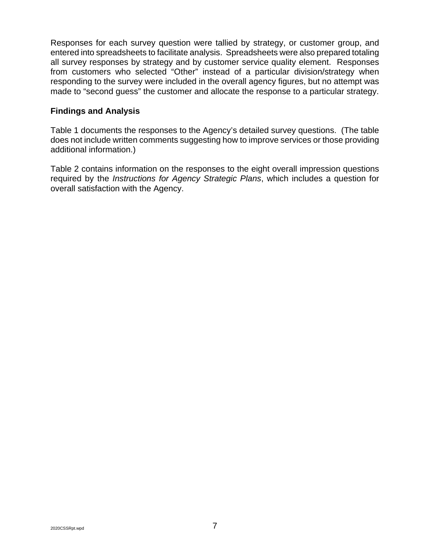Responses for each survey question were tallied by strategy, or customer group, and entered into spreadsheets to facilitate analysis. Spreadsheets were also prepared totaling all survey responses by strategy and by customer service quality element. Responses from customers who selected "Other" instead of a particular division/strategy when responding to the survey were included in the overall agency figures, but no attempt was made to "second guess" the customer and allocate the response to a particular strategy.

## **Findings and Analysis**

Table 1 documents the responses to the Agency's detailed survey questions. (The table does not include written comments suggesting how to improve services or those providing additional information.)

Table 2 contains information on the responses to the eight overall impression questions required by the *Instructions for Agency Strategic Plans*, which includes a question for overall satisfaction with the Agency.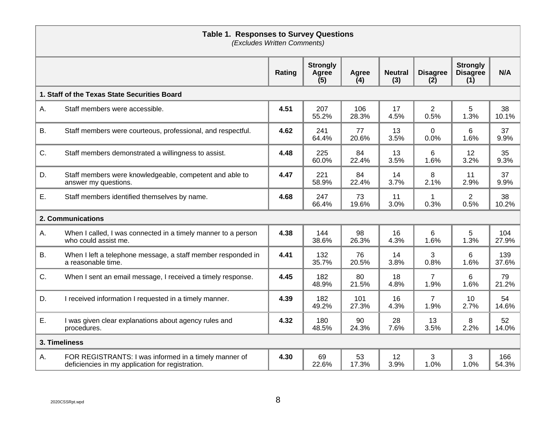|           | <b>Table 1. Responses to Survey Questions</b><br>(Excludes Written Comments)                              |        |                                 |              |                       |                        |                                           |              |  |  |
|-----------|-----------------------------------------------------------------------------------------------------------|--------|---------------------------------|--------------|-----------------------|------------------------|-------------------------------------------|--------------|--|--|
|           |                                                                                                           | Rating | <b>Strongly</b><br>Agree<br>(5) | Agree<br>(4) | <b>Neutral</b><br>(3) | <b>Disagree</b><br>(2) | <b>Strongly</b><br><b>Disagree</b><br>(1) | N/A          |  |  |
|           | 1. Staff of the Texas State Securities Board                                                              |        |                                 |              |                       |                        |                                           |              |  |  |
| Α.        | Staff members were accessible.                                                                            | 4.51   | 207<br>55.2%                    | 106<br>28.3% | 17<br>4.5%            | $\overline{2}$<br>0.5% | 5<br>1.3%                                 | 38<br>10.1%  |  |  |
| <b>B.</b> | Staff members were courteous, professional, and respectful.                                               | 4.62   | 241<br>64.4%                    | 77<br>20.6%  | 13<br>3.5%            | $\mathbf 0$<br>0.0%    | 6<br>1.6%                                 | 37<br>9.9%   |  |  |
| C.        | Staff members demonstrated a willingness to assist.                                                       | 4.48   | 225<br>60.0%                    | 84<br>22.4%  | 13<br>3.5%            | 6<br>1.6%              | 12<br>3.2%                                | 35<br>9.3%   |  |  |
| D.        | Staff members were knowledgeable, competent and able to<br>answer my questions.                           | 4.47   | 221<br>58.9%                    | 84<br>22.4%  | 14<br>3.7%            | 8<br>2.1%              | 11<br>2.9%                                | 37<br>9.9%   |  |  |
| Ε.        | Staff members identified themselves by name.                                                              | 4.68   | 247<br>66.4%                    | 73<br>19.6%  | 11<br>3.0%            | 1<br>0.3%              | $\overline{2}$<br>0.5%                    | 38<br>10.2%  |  |  |
|           | 2. Communications                                                                                         |        |                                 |              |                       |                        |                                           |              |  |  |
| Α.        | When I called, I was connected in a timely manner to a person<br>who could assist me.                     | 4.38   | 144<br>38.6%                    | 98<br>26.3%  | 16<br>4.3%            | 6<br>1.6%              | 5<br>1.3%                                 | 104<br>27.9% |  |  |
| <b>B.</b> | When I left a telephone message, a staff member responded in<br>a reasonable time.                        | 4.41   | 132<br>35.7%                    | 76<br>20.5%  | 14<br>3.8%            | 3<br>0.8%              | 6<br>1.6%                                 | 139<br>37.6% |  |  |
| C.        | When I sent an email message, I received a timely response.                                               | 4.45   | 182<br>48.9%                    | 80<br>21.5%  | 18<br>4.8%            | 7<br>1.9%              | 6<br>1.6%                                 | 79<br>21.2%  |  |  |
| D.        | I received information I requested in a timely manner.                                                    | 4.39   | 182<br>49.2%                    | 101<br>27.3% | 16<br>4.3%            | 7<br>1.9%              | 10<br>2.7%                                | 54<br>14.6%  |  |  |
| Ε.        | I was given clear explanations about agency rules and<br>procedures.                                      | 4.32   | 180<br>48.5%                    | 90<br>24.3%  | 28<br>7.6%            | 13<br>3.5%             | 8<br>2.2%                                 | 52<br>14.0%  |  |  |
|           | 3. Timeliness                                                                                             |        |                                 |              |                       |                        |                                           |              |  |  |
| А.        | FOR REGISTRANTS: I was informed in a timely manner of<br>deficiencies in my application for registration. | 4.30   | 69<br>22.6%                     | 53<br>17.3%  | 12<br>3.9%            | 3<br>1.0%              | 3<br>1.0%                                 | 166<br>54.3% |  |  |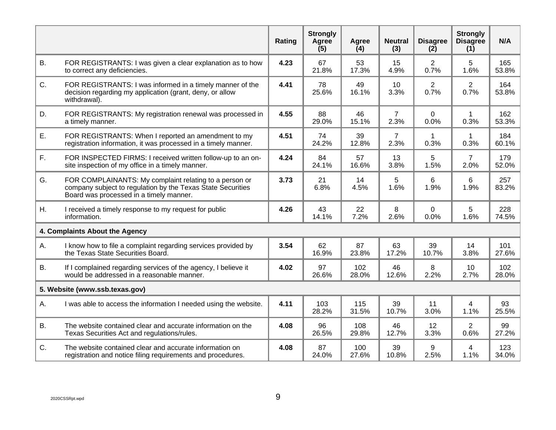|           |                                                                                                                                                                  | Rating | <b>Strongly</b><br>Agree<br>(5) | Agree<br>(4) | <b>Neutral</b><br>(3)  | <b>Disagree</b><br>(2) | <b>Strongly</b><br><b>Disagree</b><br>(1) | N/A          |
|-----------|------------------------------------------------------------------------------------------------------------------------------------------------------------------|--------|---------------------------------|--------------|------------------------|------------------------|-------------------------------------------|--------------|
| <b>B.</b> | FOR REGISTRANTS: I was given a clear explanation as to how<br>to correct any deficiencies.                                                                       | 4.23   | 67<br>21.8%                     | 53<br>17.3%  | 15<br>4.9%             | $\overline{2}$<br>0.7% | 5<br>1.6%                                 | 165<br>53.8% |
| C.        | FOR REGISTRANTS: I was informed in a timely manner of the<br>decision regarding my application (grant, deny, or allow<br>withdrawal).                            | 4.41   | 78<br>25.6%                     | 49<br>16.1%  | 10<br>3.3%             | $\overline{2}$<br>0.7% | $\overline{2}$<br>0.7%                    | 164<br>53.8% |
| D.        | FOR REGISTRANTS: My registration renewal was processed in<br>a timely manner.                                                                                    | 4.55   | 88<br>29.0%                     | 46<br>15.1%  | $\overline{7}$<br>2.3% | 0<br>0.0%              | $\mathbf{1}$<br>0.3%                      | 162<br>53.3% |
| Ε.        | FOR REGISTRANTS: When I reported an amendment to my<br>registration information, it was processed in a timely manner.                                            | 4.51   | 74<br>24.2%                     | 39<br>12.8%  | $\overline{7}$<br>2.3% | $\mathbf{1}$<br>0.3%   | $\mathbf{1}$<br>0.3%                      | 184<br>60.1% |
| F.        | FOR INSPECTED FIRMS: I received written follow-up to an on-<br>site inspection of my office in a timely manner.                                                  | 4.24   | 84<br>24.1%                     | 57<br>16.6%  | 13<br>3.8%             | 5<br>1.5%              | $\overline{7}$<br>2.0%                    | 179<br>52.0% |
| G.        | FOR COMPLAINANTS: My complaint relating to a person or<br>company subject to regulation by the Texas State Securities<br>Board was processed in a timely manner. | 3.73   | 21<br>6.8%                      | 14<br>4.5%   | 5<br>1.6%              | 6<br>1.9%              | 6<br>1.9%                                 | 257<br>83.2% |
| Η.        | I received a timely response to my request for public<br>information.                                                                                            | 4.26   | 43<br>14.1%                     | 22<br>7.2%   | 8<br>2.6%              | 0<br>0.0%              | 5<br>1.6%                                 | 228<br>74.5% |
|           | 4. Complaints About the Agency                                                                                                                                   |        |                                 |              |                        |                        |                                           |              |
| А.        | I know how to file a complaint regarding services provided by<br>the Texas State Securities Board.                                                               | 3.54   | 62<br>16.9%                     | 87<br>23.8%  | 63<br>17.2%            | 39<br>10.7%            | 14<br>3.8%                                | 101<br>27.6% |
| <b>B.</b> | If I complained regarding services of the agency, I believe it<br>would be addressed in a reasonable manner.                                                     | 4.02   | 97<br>26.6%                     | 102<br>28.0% | 46<br>12.6%            | 8<br>2.2%              | 10<br>2.7%                                | 102<br>28.0% |
|           | 5. Website (www.ssb.texas.gov)                                                                                                                                   |        |                                 |              |                        |                        |                                           |              |
| Α.        | I was able to access the information I needed using the website.                                                                                                 | 4.11   | 103<br>28.2%                    | 115<br>31.5% | 39<br>10.7%            | 11<br>3.0%             | 4<br>1.1%                                 | 93<br>25.5%  |
| <b>B.</b> | The website contained clear and accurate information on the<br>Texas Securities Act and regulations/rules.                                                       | 4.08   | 96<br>26.5%                     | 108<br>29.8% | 46<br>12.7%            | 12<br>3.3%             | $\overline{2}$<br>0.6%                    | 99<br>27.2%  |
| C.        | The website contained clear and accurate information on<br>registration and notice filing requirements and procedures.                                           | 4.08   | 87<br>24.0%                     | 100<br>27.6% | 39<br>10.8%            | 9<br>2.5%              | 4<br>1.1%                                 | 123<br>34.0% |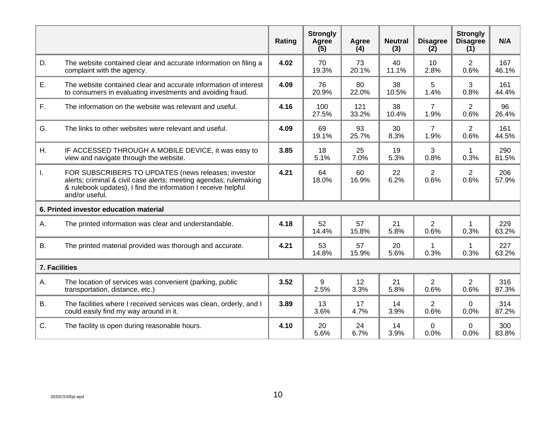|               |                                                                                                                                                                                                             | Rating | <b>Strongly</b><br>Agree<br>(5) | Agree<br>(4) | <b>Neutral</b><br>(3) | <b>Disagree</b><br>(2) | <b>Strongly</b><br><b>Disagree</b><br>(1) | N/A          |
|---------------|-------------------------------------------------------------------------------------------------------------------------------------------------------------------------------------------------------------|--------|---------------------------------|--------------|-----------------------|------------------------|-------------------------------------------|--------------|
| D.            | The website contained clear and accurate information on filing a<br>complaint with the agency.                                                                                                              | 4.02   | 70<br>19.3%                     | 73<br>20.1%  | 40<br>11.1%           | 10<br>2.8%             | $\overline{2}$<br>0.6%                    | 167<br>46.1% |
| Ε.            | The website contained clear and accurate information of interest<br>to consumers in evaluating investments and avoiding fraud.                                                                              | 4.09   | 76<br>20.9%                     | 80<br>22.0%  | 38<br>10.5%           | 5<br>1.4%              | 3<br>0.8%                                 | 161<br>44.4% |
| $F_{\rm{L}}$  | The information on the website was relevant and useful.                                                                                                                                                     | 4.16   | 100<br>27.5%                    | 121<br>33.2% | 38<br>10.4%           | $\overline{7}$<br>1.9% | $\overline{2}$<br>0.6%                    | 96<br>26.4%  |
| G.            | The links to other websites were relevant and useful.                                                                                                                                                       | 4.09   | 69<br>19.1%                     | 93<br>25.7%  | 30<br>8.3%            | $\overline{7}$<br>1.9% | $\overline{2}$<br>0.6%                    | 161<br>44.5% |
| Η.            | IF ACCESSED THROUGH A MOBILE DEVICE, it was easy to<br>view and navigate through the website.                                                                                                               | 3.85   | 18<br>5.1%                      | 25<br>7.0%   | 19<br>5.3%            | 3<br>0.8%              | $\mathbf 1$<br>0.3%                       | 290<br>81.5% |
| L.            | FOR SUBSCRIBERS TO UPDATES (news releases; investor<br>alerts; criminal & civil case alerts; meeting agendas; rulemaking<br>& rulebook updates), I find the information I receive helpful<br>and/or useful. | 4.21   | 64<br>18.0%                     | 60<br>16.9%  | 22<br>6.2%            | $\overline{2}$<br>0.6% | $\overline{2}$<br>0.6%                    | 206<br>57.9% |
|               | 6. Printed investor education material                                                                                                                                                                      |        |                                 |              |                       |                        |                                           |              |
| Α.            | The printed information was clear and understandable.                                                                                                                                                       | 4.18   | 52<br>14.4%                     | 57<br>15.8%  | 21<br>5.8%            | $\overline{2}$<br>0.6% | 1<br>0.3%                                 | 229<br>63.2% |
| <b>B.</b>     | The printed material provided was thorough and accurate.                                                                                                                                                    | 4.21   | 53<br>14.8%                     | 57<br>15.9%  | 20<br>5.6%            | 1<br>0.3%              | $\mathbf 1$<br>0.3%                       | 227<br>63.2% |
| 7. Facilities |                                                                                                                                                                                                             |        |                                 |              |                       |                        |                                           |              |
| Α.            | The location of services was convenient (parking, public<br>transportation, distance, etc.)                                                                                                                 | 3.52   | 9<br>2.5%                       | 12<br>3.3%   | 21<br>5.8%            | $\overline{2}$<br>0.6% | $\overline{2}$<br>0.6%                    | 316<br>87.3% |
| <b>B.</b>     | The facilities where I received services was clean, orderly, and I<br>could easily find my way around in it.                                                                                                | 3.89   | 13<br>3.6%                      | 17<br>4.7%   | 14<br>3.9%            | $\overline{2}$<br>0.6% | $\Omega$<br>0.0%                          | 314<br>87.2% |
| C.            | The facility is open during reasonable hours.                                                                                                                                                               | 4.10   | 20<br>5.6%                      | 24<br>6.7%   | 14<br>3.9%            | 0<br>0.0%              | 0<br>0.0%                                 | 300<br>83.8% |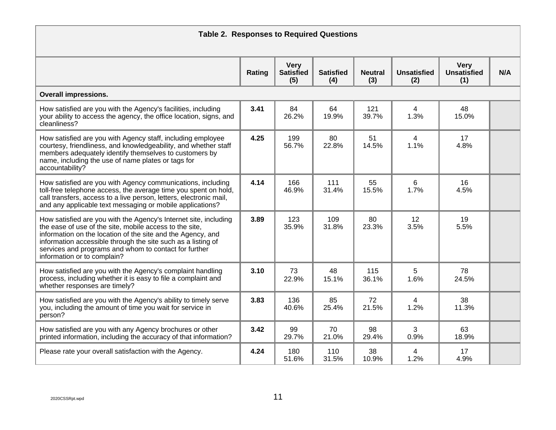| <b>Table 2. Responses to Required Questions</b>                                                                                                                                                                                                                                                                                                    |        |                                        |                         |                       |                           |                                   |     |  |  |
|----------------------------------------------------------------------------------------------------------------------------------------------------------------------------------------------------------------------------------------------------------------------------------------------------------------------------------------------------|--------|----------------------------------------|-------------------------|-----------------------|---------------------------|-----------------------------------|-----|--|--|
|                                                                                                                                                                                                                                                                                                                                                    | Rating | <b>Very</b><br><b>Satisfied</b><br>(5) | <b>Satisfied</b><br>(4) | <b>Neutral</b><br>(3) | <b>Unsatisfied</b><br>(2) | <b>Very</b><br>Unsatisfied<br>(1) | N/A |  |  |
| <b>Overall impressions.</b>                                                                                                                                                                                                                                                                                                                        |        |                                        |                         |                       |                           |                                   |     |  |  |
| How satisfied are you with the Agency's facilities, including<br>your ability to access the agency, the office location, signs, and<br>cleanliness?                                                                                                                                                                                                | 3.41   | 84<br>26.2%                            | 64<br>19.9%             | 121<br>39.7%          | 4<br>1.3%                 | 48<br>15.0%                       |     |  |  |
| How satisfied are you with Agency staff, including employee<br>courtesy, friendliness, and knowledgeability, and whether staff<br>members adequately identify themselves to customers by<br>name, including the use of name plates or tags for<br>accountability?                                                                                  | 4.25   | 199<br>56.7%                           | 80<br>22.8%             | 51<br>14.5%           | $\overline{4}$<br>1.1%    | 17<br>4.8%                        |     |  |  |
| How satisfied are you with Agency communications, including<br>toll-free telephone access, the average time you spent on hold,<br>call transfers, access to a live person, letters, electronic mail,<br>and any applicable text messaging or mobile applications?                                                                                  | 4.14   | 166<br>46.9%                           | 111<br>31.4%            | 55<br>15.5%           | 6<br>1.7%                 | 16<br>4.5%                        |     |  |  |
| How satisfied are you with the Agency's Internet site, including<br>the ease of use of the site, mobile access to the site,<br>information on the location of the site and the Agency, and<br>information accessible through the site such as a listing of<br>services and programs and whom to contact for further<br>information or to complain? | 3.89   | 123<br>35.9%                           | 109<br>31.8%            | 80<br>23.3%           | 12 <sup>°</sup><br>3.5%   | 19<br>5.5%                        |     |  |  |
| How satisfied are you with the Agency's complaint handling<br>process, including whether it is easy to file a complaint and<br>whether responses are timely?                                                                                                                                                                                       | 3.10   | 73<br>22.9%                            | 48<br>15.1%             | 115<br>36.1%          | 5<br>1.6%                 | 78<br>24.5%                       |     |  |  |
| How satisfied are you with the Agency's ability to timely serve<br>you, including the amount of time you wait for service in<br>person?                                                                                                                                                                                                            | 3.83   | 136<br>40.6%                           | 85<br>25.4%             | 72<br>21.5%           | 4<br>1.2%                 | 38<br>11.3%                       |     |  |  |
| How satisfied are you with any Agency brochures or other<br>printed information, including the accuracy of that information?                                                                                                                                                                                                                       | 3.42   | 99<br>29.7%                            | 70<br>21.0%             | 98<br>29.4%           | 3<br>0.9%                 | 63<br>18.9%                       |     |  |  |
| Please rate your overall satisfaction with the Agency.                                                                                                                                                                                                                                                                                             | 4.24   | 180<br>51.6%                           | 110<br>31.5%            | 38<br>10.9%           | 4<br>1.2%                 | 17<br>4.9%                        |     |  |  |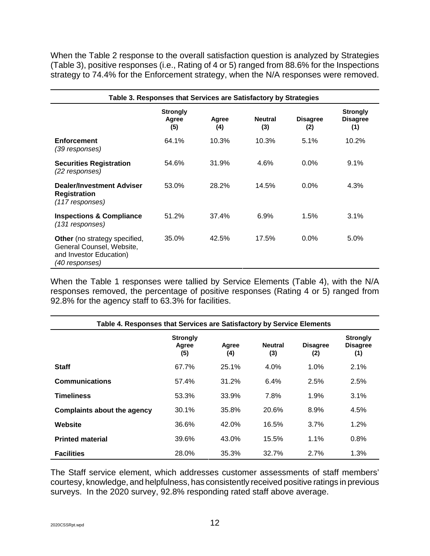When the Table 2 response to the overall satisfaction question is analyzed by Strategies (Table 3), positive responses (i.e., Rating of 4 or 5) ranged from 88.6% for the Inspections strategy to 74.4% for the Enforcement strategy, when the N/A responses were removed.

| Table 3. Responses that Services are Satisfactory by Strategies                                                |                                 |              |                       |                        |                                           |  |  |  |  |
|----------------------------------------------------------------------------------------------------------------|---------------------------------|--------------|-----------------------|------------------------|-------------------------------------------|--|--|--|--|
|                                                                                                                | <b>Strongly</b><br>Agree<br>(5) | Agree<br>(4) | <b>Neutral</b><br>(3) | <b>Disagree</b><br>(2) | <b>Strongly</b><br><b>Disagree</b><br>(1) |  |  |  |  |
| <b>Enforcement</b><br>(39 responses)                                                                           | 64.1%                           | 10.3%        | 10.3%                 | 5.1%                   | 10.2%                                     |  |  |  |  |
| <b>Securities Registration</b><br>(22 responses)                                                               | 54.6%                           | 31.9%        | 4.6%                  | $0.0\%$                | $9.1\%$                                   |  |  |  |  |
| <b>Dealer/Investment Adviser</b><br><b>Registration</b><br>(117 responses)                                     | 53.0%                           | 28.2%        | 14.5%                 | $0.0\%$                | 4.3%                                      |  |  |  |  |
| <b>Inspections &amp; Compliance</b><br>(131 responses)                                                         | 51.2%                           | 37.4%        | 6.9%                  | 1.5%                   | 3.1%                                      |  |  |  |  |
| <b>Other</b> (no strategy specified,<br>General Counsel, Website,<br>and Investor Education)<br>(40 responses) | 35.0%                           | 42.5%        | 17.5%                 | $0.0\%$                | 5.0%                                      |  |  |  |  |

When the Table 1 responses were tallied by Service Elements (Table 4), with the N/A responses removed, the percentage of positive responses (Rating 4 or 5) ranged from 92.8% for the agency staff to 63.3% for facilities.

| Table 4. Responses that Services are Satisfactory by Service Elements |                                 |              |                       |                        |                                           |  |  |  |  |
|-----------------------------------------------------------------------|---------------------------------|--------------|-----------------------|------------------------|-------------------------------------------|--|--|--|--|
|                                                                       | <b>Strongly</b><br>Agree<br>(5) | Agree<br>(4) | <b>Neutral</b><br>(3) | <b>Disagree</b><br>(2) | <b>Strongly</b><br><b>Disagree</b><br>(1) |  |  |  |  |
| <b>Staff</b>                                                          | 67.7%                           | 25.1%        | 4.0%                  | 1.0%                   | 2.1%                                      |  |  |  |  |
| <b>Communications</b>                                                 | 57.4%                           | 31.2%        | 6.4%                  | 2.5%                   | 2.5%                                      |  |  |  |  |
| <b>Timeliness</b>                                                     | 53.3%                           | 33.9%        | 7.8%                  | 1.9%                   | 3.1%                                      |  |  |  |  |
| Complaints about the agency                                           | 30.1%                           | 35.8%        | 20.6%                 | 8.9%                   | 4.5%                                      |  |  |  |  |
| Website                                                               | 36.6%                           | 42.0%        | 16.5%                 | 3.7%                   | 1.2%                                      |  |  |  |  |
| <b>Printed material</b>                                               | 39.6%                           | 43.0%        | 15.5%                 | 1.1%                   | 0.8%                                      |  |  |  |  |
| <b>Facilities</b>                                                     | 28.0%                           | 35.3%        | 32.7%                 | 2.7%                   | 1.3%                                      |  |  |  |  |

The Staff service element, which addresses customer assessments of staff members' courtesy, knowledge, and helpfulness, has consistently received positive ratings in previous surveys. In the 2020 survey, 92.8% responding rated staff above average.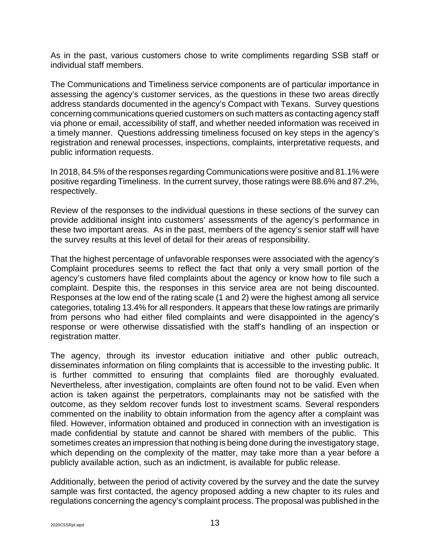As in the past, various customers chose to write compliments regarding SSB staff or individual staff members.

The Communications and Timeliness service components are of particular importance in assessing the agency's customer services, as the questions in these two areas directly address standards documented in the agency's Compact with Texans. Survey questions concerning communications queried customers on such matters as contacting agency staff via phone or email, accessibility of staff, and whether needed information was received in a timely manner. Questions addressing timeliness focused on key steps in the agency's registration and renewal processes, inspections, complaints, interpretative requests, and public information requests.

In 2018, 84.5% of the responses regarding Communications were positive and 81.1% were positive regarding Timeliness. In the current survey, those ratings were 88.6% and 87.2%, respectively.

Review of the responses to the individual questions in these sections of the survey can provide additional insight into customers' assessments of the agency's performance in these two important areas. As in the past, members of the agency's senior staff will have the survey results at this level of detail for their areas of responsibility.

That the highest percentage of unfavorable responses were associated with the agency's Complaint procedures seems to reflect the fact that only a very small portion of the agency's customers have filed complaints about the agency or know how to file such a complaint. Despite this, the responses in this service area are not being discounted. Responses at the low end of the rating scale (1 and 2) were the highest among all service categories, totaling 13.4% for all responders. It appears that these low ratings are primarily from persons who had either filed complaints and were disappointed in the agency's response or were otherwise dissatisfied with the staff's handling of an inspection or registration matter.

The agency, through its investor education initiative and other public outreach, disseminates information on filing complaints that is accessible to the investing public. It is further committed to ensuring that complaints filed are thoroughly evaluated. Nevertheless, after investigation, complaints are often found not to be valid. Even when action is taken against the perpetrators, complainants may not be satisfied with the outcome, as they seldom recover funds lost to investment scams. Several responders commented on the inability to obtain information from the agency after a complaint was filed. However, information obtained and produced in connection with an investigation is made confidential by statute and cannot be shared with members of the public. This sometimes creates an impression that nothing is being done during the investigatory stage, which depending on the complexity of the matter, may take more than a year before a publicly available action, such as an indictment, is available for public release.

Additionally, between the period of activity covered by the survey and the date the survey sample was first contacted, the agency proposed adding a new chapter to its rules and regulations concerning the agency's complaint process. The proposal was published in the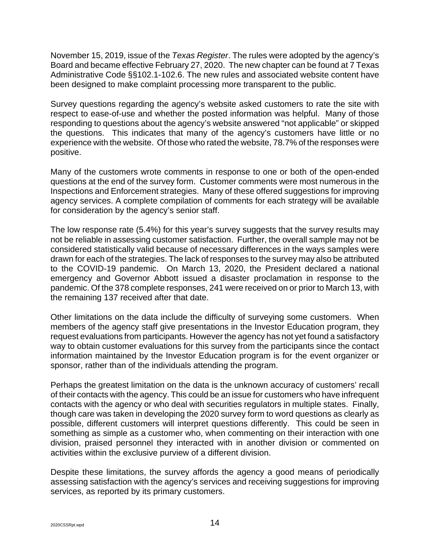November 15, 2019, issue of the *Texas Register*. The rules were adopted by the agency's Board and became effective February 27, 2020. The new chapter can be found at 7 Texas Administrative Code §§102.1-102.6. The new rules and associated website content have been designed to make complaint processing more transparent to the public.

Survey questions regarding the agency's website asked customers to rate the site with respect to ease-of-use and whether the posted information was helpful. Many of those responding to questions about the agency's website answered "not applicable" or skipped the questions. This indicates that many of the agency's customers have little or no experience with the website. Of those who rated the website, 78.7% of the responses were positive.

Many of the customers wrote comments in response to one or both of the open-ended questions at the end of the survey form. Customer comments were most numerous in the Inspections and Enforcement strategies. Many of these offered suggestions for improving agency services. A complete compilation of comments for each strategy will be available for consideration by the agency's senior staff.

The low response rate (5.4%) for this year's survey suggests that the survey results may not be reliable in assessing customer satisfaction. Further, the overall sample may not be considered statistically valid because of necessary differences in the ways samples were drawn for each of the strategies. The lack of responses to the survey may also be attributed to the COVID-19 pandemic. On March 13, 2020, the President declared a national emergency and Governor Abbott issued a disaster proclamation in response to the pandemic. Of the 378 complete responses, 241 were received on or prior to March 13, with the remaining 137 received after that date.

Other limitations on the data include the difficulty of surveying some customers. When members of the agency staff give presentations in the Investor Education program, they request evaluations from participants. However the agency has not yet found a satisfactory way to obtain customer evaluations for this survey from the participants since the contact information maintained by the Investor Education program is for the event organizer or sponsor, rather than of the individuals attending the program.

Perhaps the greatest limitation on the data is the unknown accuracy of customers' recall of their contacts with the agency. This could be an issue for customers who have infrequent contacts with the agency or who deal with securities regulators in multiple states. Finally, though care was taken in developing the 2020 survey form to word questions as clearly as possible, different customers will interpret questions differently. This could be seen in something as simple as a customer who, when commenting on their interaction with one division, praised personnel they interacted with in another division or commented on activities within the exclusive purview of a different division.

Despite these limitations, the survey affords the agency a good means of periodically assessing satisfaction with the agency's services and receiving suggestions for improving services, as reported by its primary customers.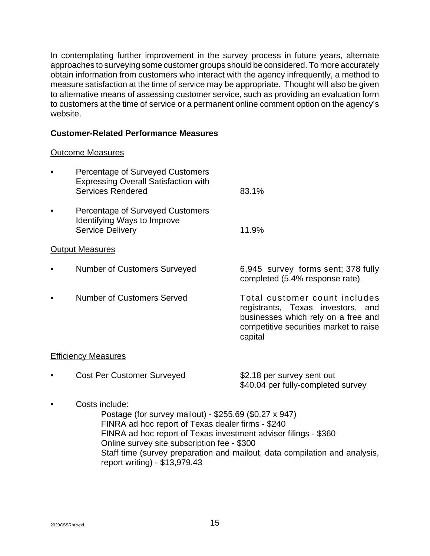In contemplating further improvement in the survey process in future years, alternate approaches to surveying some customer groups should be considered. To more accurately obtain information from customers who interact with the agency infrequently, a method to measure satisfaction at the time of service may be appropriate. Thought will also be given to alternative means of assessing customer service, such as providing an evaluation form to customers at the time of service or a permanent online comment option on the agency's website.

## **Customer-Related Performance Measures**

#### Outcome Measures

| <b>Percentage of Surveyed Customers</b><br><b>Expressing Overall Satisfaction with</b><br><b>Services Rendered</b> | 83.1%                                                                                                                                                          |
|--------------------------------------------------------------------------------------------------------------------|----------------------------------------------------------------------------------------------------------------------------------------------------------------|
| <b>Percentage of Surveyed Customers</b><br>Identifying Ways to Improve<br><b>Service Delivery</b>                  | 11.9%                                                                                                                                                          |
| <b>Output Measures</b>                                                                                             |                                                                                                                                                                |
| <b>Number of Customers Surveyed</b>                                                                                | 6,945 survey forms sent; 378 fully<br>completed (5.4% response rate)                                                                                           |
| Number of Customers Served                                                                                         | Total customer count includes<br>registrants, Texas investors, and<br>businesses which rely on a free and<br>competitive securities market to raise<br>capital |
| <b>Efficiency Measures</b>                                                                                         |                                                                                                                                                                |
| <b>Cost Per Customer Surveyed</b>                                                                                  | \$2.18 per survey sent out                                                                                                                                     |

\$40.04 per fully-completed survey

• Costs include:

Postage (for survey mailout) - \$255.69 (\$0.27 x 947) FINRA ad hoc report of Texas dealer firms - \$240 FINRA ad hoc report of Texas investment adviser filings - \$360 Online survey site subscription fee - \$300 Staff time (survey preparation and mailout, data compilation and analysis, report writing) - \$13,979.43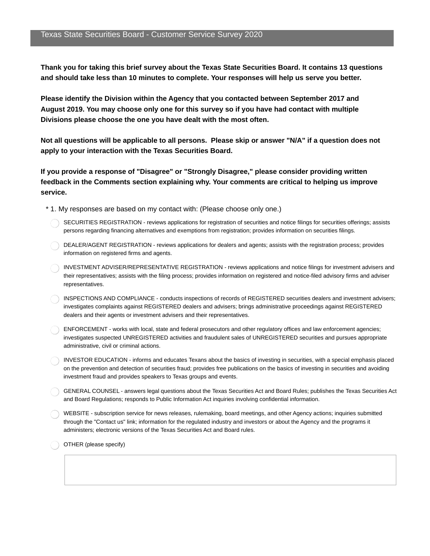**Thank you for taking this brief survey about the Texas State Securities Board. It contains 13 questions and should take less than 10 minutes to complete. Your responses will help us serve you better.**

**Please identify the Division within the Agency that you contacted between September 2017 and August 2019. You may choose only one for this survey so if you have had contact with multiple Divisions please choose the one you have dealt with the most often.**

Not all questions will be applicable to all persons. Please skip or answer "N/A" if a question does not **apply to your interaction with the Texas Securities Board.**

**If you provide a response of "Disagree" or "Strongly Disagree," please consider providing written feedback in the Comments section explaining why. Your comments are critical to helping us improve service.**

- \* 1. My responses are based on my contact with: (Please choose only one.)
	- SECURITIES REGISTRATION reviews applications for registration of securities and notice filings for securities offerings; assists persons regarding financing alternatives and exemptions from registration; provides information on securities filings.
	- DEALER/AGENT REGISTRATION reviews applications for dealers and agents; assists with the registration process; provides information on registered firms and agents.
	- INVESTMENT ADVISER/REPRESENTATIVE REGISTRATION reviews applications and notice filings for investment advisers and their representatives; assists with the filing process; provides information on registered and notice-filed advisory firms and adviser representatives.
	- INSPECTIONS AND COMPLIANCE conducts inspections of records of REGISTERED securities dealers and investment advisers; investigates complaints against REGISTERED dealers and advisers; brings administrative proceedings against REGISTERED dealers and their agents or investment advisers and their representatives.
	- ENFORCEMENT works with local, state and federal prosecutors and other regulatory offices and law enforcement agencies; investigates suspected UNREGISTERED activities and fraudulent sales of UNREGISTERED securities and pursues appropriate administrative, civil or criminal actions.
	- INVESTOR EDUCATION informs and educates Texans about the basics of investing in securities, with a special emphasis placed on the prevention and detection of securities fraud; provides free publications on the basics of investing in securities and avoiding investment fraud and provides speakers to Texas groups and events.
	- GENERAL COUNSEL answers legal questions about the Texas Securities Act and Board Rules; publishes the Texas Securities Act and Board Regulations; responds to Public Information Act inquiries involving confidential information.
	- WEBSITE subscription service for news releases, rulemaking, board meetings, and other Agency actions; inquiries submitted through the "Contact us" link; information for the regulated industry and investors or about the Agency and the programs it administers; electronic versions of the Texas Securities Act and Board rules.
	- OTHER (please specify)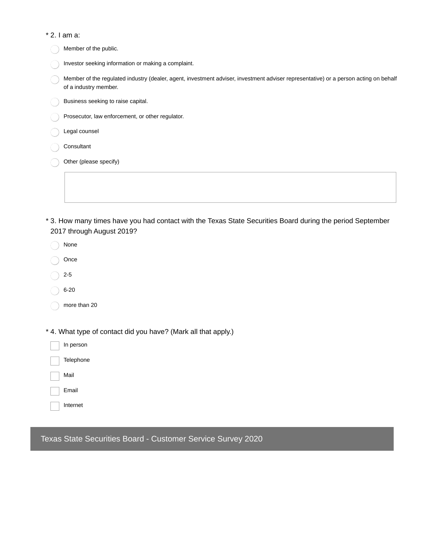| * 2. I am a:                                                                                                                                                  |
|---------------------------------------------------------------------------------------------------------------------------------------------------------------|
| Member of the public.                                                                                                                                         |
| Investor seeking information or making a complaint.                                                                                                           |
| Member of the regulated industry (dealer, agent, investment adviser, investment adviser representative) or a person acting on behalf<br>of a industry member. |
| Business seeking to raise capital.                                                                                                                            |
| Prosecutor, law enforcement, or other regulator.                                                                                                              |
| Legal counsel                                                                                                                                                 |
| Consultant                                                                                                                                                    |
| Other (please specify)                                                                                                                                        |
|                                                                                                                                                               |

3. How many times have you had contact with the Texas State Securities Board during the period September \* 2017 through August 2019?

| None                                                           |
|----------------------------------------------------------------|
| Once                                                           |
| $2 - 5$                                                        |
| $6 - 20$                                                       |
| more than 20                                                   |
|                                                                |
| * 4. What type of contact did you have? (Mark all that apply.) |
| In person                                                      |
| Telephone                                                      |

Mail

Email

Internet

Texas State Securities Board - Customer Service Survey 2020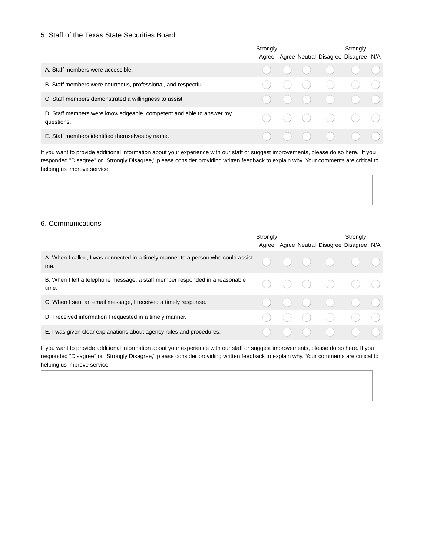#### 5. Staff of the Texas State Securities Board

|                                                                                    | Strongly |  | Strongly                                                                                                                                                                                               |  |
|------------------------------------------------------------------------------------|----------|--|--------------------------------------------------------------------------------------------------------------------------------------------------------------------------------------------------------|--|
|                                                                                    |          |  | Agree Agree Neutral Disagree Disagree N/A                                                                                                                                                              |  |
| A. Staff members were accessible.                                                  |          |  | $\begin{array}{ccccccccccccccccc} \circ & \circ & \circ & \circ & \circ & \circ & \circ & \circ \end{array}$                                                                                           |  |
| B. Staff members were courteous, professional, and respectful.                     |          |  | $\begin{array}{ccc} & \circ & \circ & \circ & \circ \end{array}$                                                                                                                                       |  |
| C. Staff members demonstrated a willingness to assist.                             |          |  |                                                                                                                                                                                                        |  |
| D. Staff members were knowledgeable, competent and able to answer my<br>questions. |          |  |                                                                                                                                                                                                        |  |
| E. Staff members identified themselves by name.                                    |          |  | $\begin{array}{ccc} \begin{array}{ccc} \bullet & \bullet & \bullet \\ \bullet & \bullet & \end{array} & \begin{array}{ccc} \bullet & \bullet & \bullet \\ \bullet & \bullet & \end{array} \end{array}$ |  |

If you want to provide additional information about your experience with our staff or suggest improvements, please do so here. If you responded "Disagree" or "Strongly Disagree," please consider providing written feedback to explain why. Your comments are critical to helping us improve service.

#### 6. Communications

|                                                                                          | Strongly |  |                                                | Stronaly<br>Agree Agree Neutral Disagree Disagree N/A                                                        |  |
|------------------------------------------------------------------------------------------|----------|--|------------------------------------------------|--------------------------------------------------------------------------------------------------------------|--|
| A. When I called, I was connected in a timely manner to a person who could assist<br>me. |          |  |                                                | $\begin{array}{ccccccccccccccccc} \circ & \circ & \circ & \circ & \circ & \circ & \circ & \circ \end{array}$ |  |
| B. When I left a telephone message, a staff member responded in a reasonable<br>time.    |          |  |                                                | $\begin{array}{ccccccccccccccccc} \circ & \circ & \circ & \circ & \circ & \circ & \circ \end{array}$         |  |
| C. When I sent an email message, I received a timely response.                           |          |  |                                                | $\begin{array}{ccc} & O & O & O & O \end{array}$                                                             |  |
| D. I received information I requested in a timely manner.                                |          |  |                                                | $\bigcirc$ $\bigcirc$ $\bigcirc$ $\bigcirc$ $\bigcirc$                                                       |  |
| E. I was given clear explanations about agency rules and procedures.                     |          |  | $\begin{pmatrix} 1 & 1 \\ 1 & 1 \end{pmatrix}$ |                                                                                                              |  |

If you want to provide additional information about your experience with our staff or suggest improvements, please do so here. If you responded "Disagree" or "Strongly Disagree," please consider providing written feedback to explain why. Your comments are critical to helping us improve service.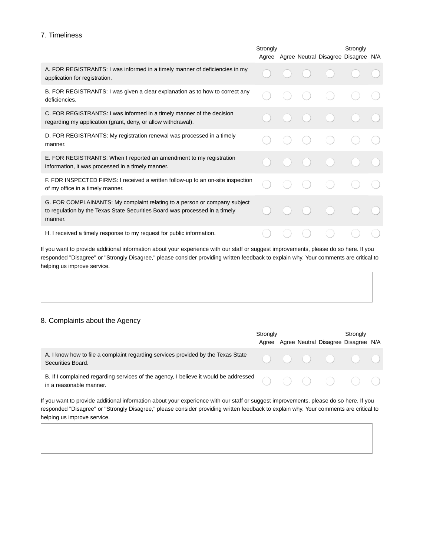#### 7. Timeliness

|                                                                                                                                                                     | Strongly |  |  | Strongly |                                           |  |
|---------------------------------------------------------------------------------------------------------------------------------------------------------------------|----------|--|--|----------|-------------------------------------------|--|
|                                                                                                                                                                     |          |  |  |          | Agree Agree Neutral Disagree Disagree N/A |  |
| A. FOR REGISTRANTS: I was informed in a timely manner of deficiencies in my<br>application for registration.                                                        |          |  |  |          |                                           |  |
| B. FOR REGISTRANTS: I was given a clear explanation as to how to correct any<br>deficiencies.                                                                       |          |  |  |          |                                           |  |
| C. FOR REGISTRANTS: I was informed in a timely manner of the decision<br>regarding my application (grant, deny, or allow withdrawal).                               |          |  |  |          |                                           |  |
| D. FOR REGISTRANTS: My registration renewal was processed in a timely<br>manner.                                                                                    |          |  |  |          |                                           |  |
| E. FOR REGISTRANTS: When I reported an amendment to my registration<br>information, it was processed in a timely manner.                                            |          |  |  |          |                                           |  |
| F. FOR INSPECTED FIRMS: I received a written follow-up to an on-site inspection<br>of my office in a timely manner.                                                 |          |  |  |          |                                           |  |
| G. FOR COMPLAINANTS: My complaint relating to a person or company subject<br>to regulation by the Texas State Securities Board was processed in a timely<br>manner. |          |  |  |          |                                           |  |
| H. I received a timely response to my request for public information.                                                                                               |          |  |  |          |                                           |  |

If you want to provide additional information about your experience with our staff or suggest improvements, please do so here. If you responded "Disagree" or "Strongly Disagree," please consider providing written feedback to explain why. Your comments are critical to helping us improve service.

#### 8. Complaints about the Agency

|                                                                                                                                                                        | Strongly |  |  | Stronaly                                                                                                     |  |  |
|------------------------------------------------------------------------------------------------------------------------------------------------------------------------|----------|--|--|--------------------------------------------------------------------------------------------------------------|--|--|
|                                                                                                                                                                        |          |  |  | Agree Agree Neutral Disagree Disagree N/A                                                                    |  |  |
| A. I know how to file a complaint regarding services provided by the Texas State<br>Securities Board.                                                                  |          |  |  | $\begin{array}{ccccccccccccccccc} \circ & \circ & \circ & \circ & \circ & \circ & \circ & \circ \end{array}$ |  |  |
| B. If I complained regarding services of the agency, I believe it would be addressed $\bigcirc$ $\bigcirc$ $\bigcirc$ $\bigcirc$ $\bigcirc$<br>in a reasonable manner. |          |  |  |                                                                                                              |  |  |

If you want to provide additional information about your experience with our staff or suggest improvements, please do so here. If you responded "Disagree" or "Strongly Disagree," please consider providing written feedback to explain why. Your comments are critical to helping us improve service.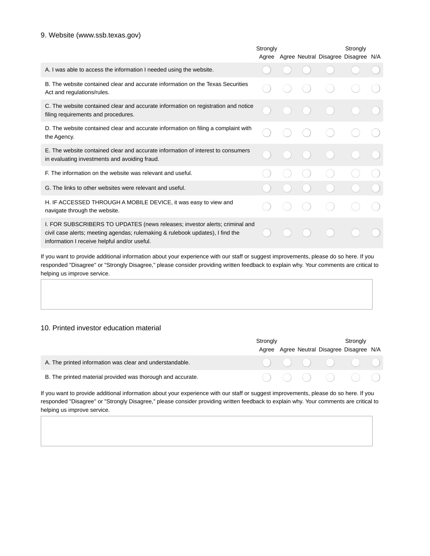#### 9. Website (www.ssb.texas.gov)

|                                                                                                                                                                                                               | Strongly |  | Strongly |                                     |  |
|---------------------------------------------------------------------------------------------------------------------------------------------------------------------------------------------------------------|----------|--|----------|-------------------------------------|--|
|                                                                                                                                                                                                               | Agree    |  |          | Agree Neutral Disagree Disagree N/A |  |
| A. I was able to access the information I needed using the website.                                                                                                                                           |          |  |          |                                     |  |
| B. The website contained clear and accurate information on the Texas Securities<br>Act and regulations/rules.                                                                                                 |          |  |          |                                     |  |
| C. The website contained clear and accurate information on registration and notice<br>filing requirements and procedures.                                                                                     |          |  |          |                                     |  |
| D. The website contained clear and accurate information on filing a complaint with<br>the Agency.                                                                                                             |          |  |          |                                     |  |
| E. The website contained clear and accurate information of interest to consumers<br>in evaluating investments and avoiding fraud.                                                                             |          |  |          |                                     |  |
| F. The information on the website was relevant and useful.                                                                                                                                                    |          |  |          |                                     |  |
| G. The links to other websites were relevant and useful.                                                                                                                                                      |          |  |          |                                     |  |
| H. IF ACCESSED THROUGH A MOBILE DEVICE, it was easy to view and<br>navigate through the website.                                                                                                              |          |  |          |                                     |  |
| I. FOR SUBSCRIBERS TO UPDATES (news releases; investor alerts; criminal and<br>civil case alerts; meeting agendas; rulemaking & rulebook updates), I find the<br>information I receive helpful and/or useful. |          |  |          |                                     |  |

If you want to provide additional information about your experience with our staff or suggest improvements, please do so here. If you responded "Disagree" or "Strongly Disagree," please consider providing written feedback to explain why. Your comments are critical to helping us improve service.

#### 10. Printed investor education material

|                                                             | Stronaly |  | Stronaly                                                                                                             |  |
|-------------------------------------------------------------|----------|--|----------------------------------------------------------------------------------------------------------------------|--|
|                                                             |          |  | Agree Agree Neutral Disagree Disagree N/A                                                                            |  |
| A. The printed information was clear and understandable.    |          |  | $\begin{array}{ccccccccccccccccc} \circ & \circ & \circ & \circ & \circ & \circ & \circ & \circ & \circ \end{array}$ |  |
| B. The printed material provided was thorough and accurate. |          |  | $\begin{array}{ccccccccccccccccc} \circ & \circ & \circ & \circ & \circ & \circ & \circ & \circ \end{array}$         |  |

If you want to provide additional information about your experience with our staff or suggest improvements, please do so here. If you responded "Disagree" or "Strongly Disagree," please consider providing written feedback to explain why. Your comments are critical to helping us improve service.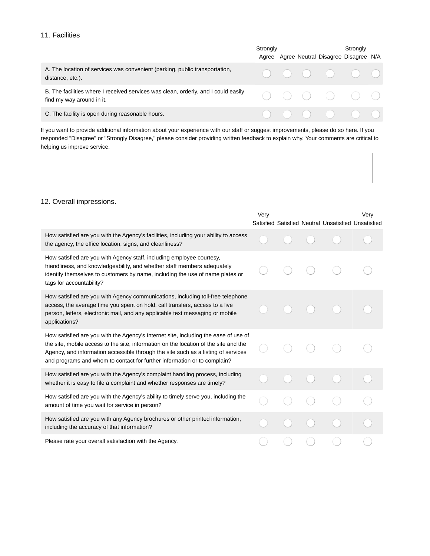#### 11. Facilities

|                                                                                                                 | Strongly |  | Strongly<br>Agree Agree Neutral Disagree Disagree N/A                                                                |  |
|-----------------------------------------------------------------------------------------------------------------|----------|--|----------------------------------------------------------------------------------------------------------------------|--|
| A. The location of services was convenient (parking, public transportation,<br>distance, etc.).                 |          |  |                                                                                                                      |  |
| B. The facilities where I received services was clean, orderly, and I could easily<br>find my way around in it. |          |  | $\begin{array}{ccccccccccccccccc} \circ & \circ & \circ & \circ & \circ & \circ & \circ & \circ & \circ \end{array}$ |  |
| C. The facility is open during reasonable hours.                                                                |          |  | $\begin{array}{ccc} \circ & \circ & \circ & \circ & \circ & \circ \end{array}$                                       |  |

If you want to provide additional information about your experience with our staff or suggest improvements, please do so here. If you responded "Disagree" or "Strongly Disagree," please consider providing written feedback to explain why. Your comments are critical to helping us improve service.

#### 12. Overall impressions.

|                                                                                                                                                                                                                                                                                                                                              | Very |  | Satisfied Satisfied Neutral Unsatisfied Unsatisfied | Verv |
|----------------------------------------------------------------------------------------------------------------------------------------------------------------------------------------------------------------------------------------------------------------------------------------------------------------------------------------------|------|--|-----------------------------------------------------|------|
| How satisfied are you with the Agency's facilities, including your ability to access<br>the agency, the office location, signs, and cleanliness?                                                                                                                                                                                             |      |  |                                                     |      |
| How satisfied are you with Agency staff, including employee courtesy,<br>friendliness, and knowledgeability, and whether staff members adequately<br>identify themselves to customers by name, including the use of name plates or<br>tags for accountability?                                                                               |      |  |                                                     |      |
| How satisfied are you with Agency communications, including toll-free telephone<br>access, the average time you spent on hold, call transfers, access to a live<br>person, letters, electronic mail, and any applicable text messaging or mobile<br>applications?                                                                            |      |  |                                                     |      |
| How satisfied are you with the Agency's Internet site, including the ease of use of<br>the site, mobile access to the site, information on the location of the site and the<br>Agency, and information accessible through the site such as a listing of services<br>and programs and whom to contact for further information or to complain? |      |  |                                                     |      |
| How satisfied are you with the Agency's complaint handling process, including<br>whether it is easy to file a complaint and whether responses are timely?                                                                                                                                                                                    |      |  |                                                     |      |
| How satisfied are you with the Agency's ability to timely serve you, including the<br>amount of time you wait for service in person?                                                                                                                                                                                                         |      |  |                                                     |      |
| How satisfied are you with any Agency brochures or other printed information,<br>including the accuracy of that information?                                                                                                                                                                                                                 |      |  |                                                     |      |
| Please rate your overall satisfaction with the Agency.                                                                                                                                                                                                                                                                                       |      |  |                                                     |      |